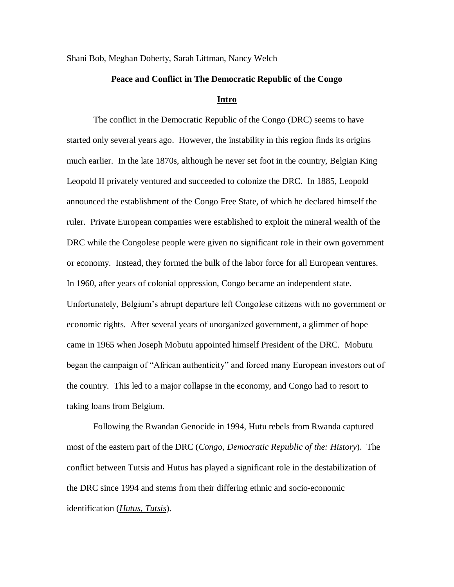Shani Bob, Meghan Doherty, Sarah Littman, Nancy Welch

#### **Peace and Conflict in The Democratic Republic of the Congo**

#### **Intro**

The conflict in the Democratic Republic of the Congo (DRC) seems to have started only several years ago. However, the instability in this region finds its origins much earlier. In the late 1870s, although he never set foot in the country, Belgian King Leopold II privately ventured and succeeded to colonize the DRC. In 1885, Leopold announced the establishment of the Congo Free State, of which he declared himself the ruler. Private European companies were established to exploit the mineral wealth of the DRC while the Congolese people were given no significant role in their own government or economy. Instead, they formed the bulk of the labor force for all European ventures. In 1960, after years of colonial oppression, Congo became an independent state. Unfortunately, Belgium's abrupt departure left Congolese citizens with no government or economic rights. After several years of unorganized government, a glimmer of hope came in 1965 when Joseph Mobutu appointed himself President of the DRC. Mobutu began the campaign of "African authenticity" and forced many European investors out of the country. This led to a major collapse in the economy, and Congo had to resort to taking loans from Belgium.

Following the Rwandan Genocide in 1994, Hutu rebels from Rwanda captured most of the eastern part of the DRC (*Congo, Democratic Republic of the: History*). The conflict between Tutsis and Hutus has played a significant role in the destabilization of the DRC since 1994 and stems from their differing ethnic and socio-economic identification (*Hutus, Tutsis*).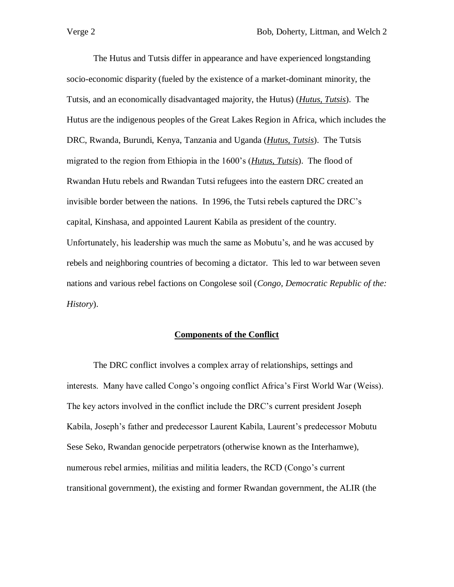The Hutus and Tutsis differ in appearance and have experienced longstanding socio-economic disparity (fueled by the existence of a market-dominant minority, the Tutsis, and an economically disadvantaged majority, the Hutus) (*Hutus, Tutsis*). The Hutus are the indigenous peoples of the Great Lakes Region in Africa, which includes the DRC, Rwanda, Burundi, Kenya, Tanzania and Uganda (*Hutus, Tutsis*). The Tutsis migrated to the region from Ethiopia in the 1600's (*Hutus, Tutsis*). The flood of Rwandan Hutu rebels and Rwandan Tutsi refugees into the eastern DRC created an invisible border between the nations. In 1996, the Tutsi rebels captured the DRC's capital, Kinshasa, and appointed Laurent Kabila as president of the country. Unfortunately, his leadership was much the same as Mobutu's, and he was accused by rebels and neighboring countries of becoming a dictator. This led to war between seven nations and various rebel factions on Congolese soil (*Congo, Democratic Republic of the: History*).

## **Components of the Conflict**

The DRC conflict involves a complex array of relationships, settings and interests. Many have called Congo's ongoing conflict Africa's First World War (Weiss). The key actors involved in the conflict include the DRC's current president Joseph Kabila, Joseph's father and predecessor Laurent Kabila, Laurent's predecessor Mobutu Sese Seko, Rwandan genocide perpetrators (otherwise known as the Interhamwe), numerous rebel armies, militias and militia leaders, the RCD (Congo's current transitional government), the existing and former Rwandan government, the ALIR (the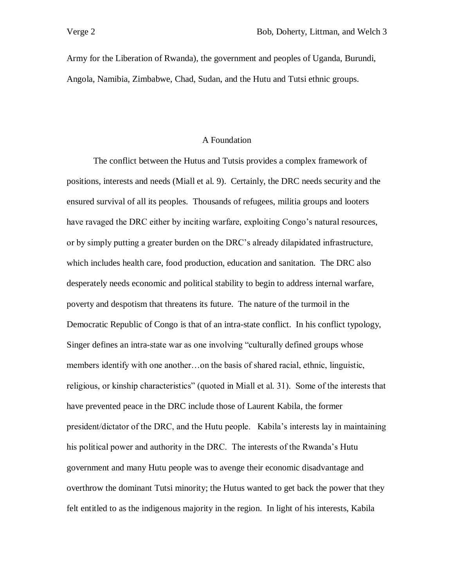Army for the Liberation of Rwanda), the government and peoples of Uganda, Burundi, Angola, Namibia, Zimbabwe, Chad, Sudan, and the Hutu and Tutsi ethnic groups.

### A Foundation

The conflict between the Hutus and Tutsis provides a complex framework of positions, interests and needs (Miall et al. 9). Certainly, the DRC needs security and the ensured survival of all its peoples. Thousands of refugees, militia groups and looters have ravaged the DRC either by inciting warfare, exploiting Congo's natural resources, or by simply putting a greater burden on the DRC's already dilapidated infrastructure, which includes health care, food production, education and sanitation. The DRC also desperately needs economic and political stability to begin to address internal warfare, poverty and despotism that threatens its future. The nature of the turmoil in the Democratic Republic of Congo is that of an intra-state conflict. In his conflict typology, Singer defines an intra-state war as one involving "culturally defined groups whose members identify with one another…on the basis of shared racial, ethnic, linguistic, religious, or kinship characteristics" (quoted in Miall et al. 31). Some of the interests that have prevented peace in the DRC include those of Laurent Kabila, the former president/dictator of the DRC, and the Hutu people. Kabila's interests lay in maintaining his political power and authority in the DRC. The interests of the Rwanda's Hutu government and many Hutu people was to avenge their economic disadvantage and overthrow the dominant Tutsi minority; the Hutus wanted to get back the power that they felt entitled to as the indigenous majority in the region. In light of his interests, Kabila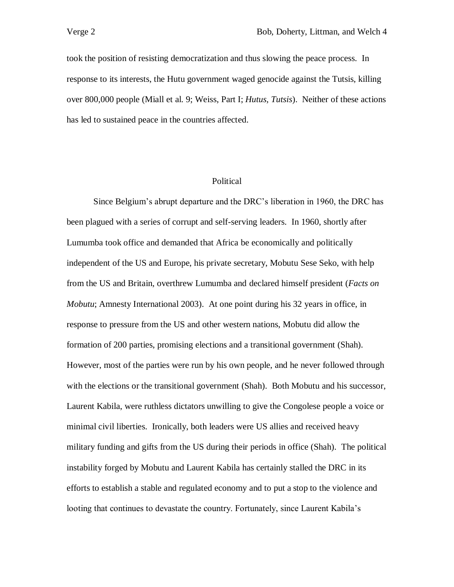took the position of resisting democratization and thus slowing the peace process. In response to its interests, the Hutu government waged genocide against the Tutsis, killing over 800,000 people (Miall et al. 9; Weiss, Part I; *Hutus, Tutsis*). Neither of these actions has led to sustained peace in the countries affected.

## Political

Since Belgium's abrupt departure and the DRC's liberation in 1960, the DRC has been plagued with a series of corrupt and self-serving leaders. In 1960, shortly after Lumumba took office and demanded that Africa be economically and politically independent of the US and Europe, his private secretary, Mobutu Sese Seko, with help from the US and Britain, overthrew Lumumba and declared himself president (*Facts on Mobutu*; Amnesty International 2003). At one point during his 32 years in office, in response to pressure from the US and other western nations, Mobutu did allow the formation of 200 parties, promising elections and a transitional government (Shah). However, most of the parties were run by his own people, and he never followed through with the elections or the transitional government (Shah). Both Mobutu and his successor, Laurent Kabila, were ruthless dictators unwilling to give the Congolese people a voice or minimal civil liberties. Ironically, both leaders were US allies and received heavy military funding and gifts from the US during their periods in office (Shah). The political instability forged by Mobutu and Laurent Kabila has certainly stalled the DRC in its efforts to establish a stable and regulated economy and to put a stop to the violence and looting that continues to devastate the country. Fortunately, since Laurent Kabila's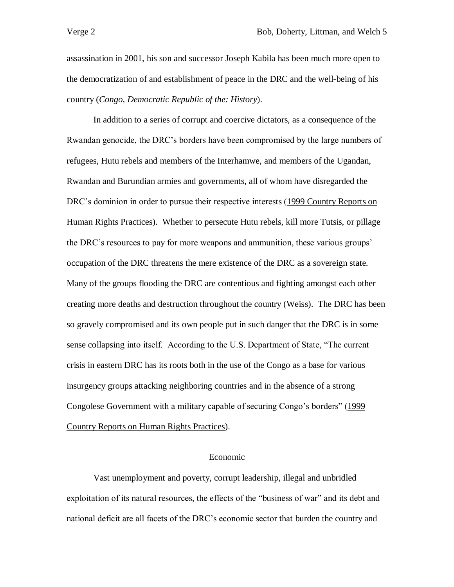assassination in 2001, his son and successor Joseph Kabila has been much more open to the democratization of and establishment of peace in the DRC and the well-being of his country (*Congo, Democratic Republic of the: History*).

In addition to a series of corrupt and coercive dictators, as a consequence of the Rwandan genocide, the DRC's borders have been compromised by the large numbers of refugees, Hutu rebels and members of the Interhamwe, and members of the Ugandan, Rwandan and Burundian armies and governments, all of whom have disregarded the DRC's dominion in order to pursue their respective interests (1999 Country Reports on Human Rights Practices). Whether to persecute Hutu rebels, kill more Tutsis, or pillage the DRC's resources to pay for more weapons and ammunition, these various groups' occupation of the DRC threatens the mere existence of the DRC as a sovereign state. Many of the groups flooding the DRC are contentious and fighting amongst each other creating more deaths and destruction throughout the country (Weiss). The DRC has been so gravely compromised and its own people put in such danger that the DRC is in some sense collapsing into itself. According to the U.S. Department of State, "The current crisis in eastern DRC has its roots both in the use of the Congo as a base for various insurgency groups attacking neighboring countries and in the absence of a strong Congolese Government with a military capable of securing Congo's borders" (1999 Country Reports on Human Rights Practices).

#### Economic

Vast unemployment and poverty, corrupt leadership, illegal and unbridled exploitation of its natural resources, the effects of the "business of war" and its debt and national deficit are all facets of the DRC's economic sector that burden the country and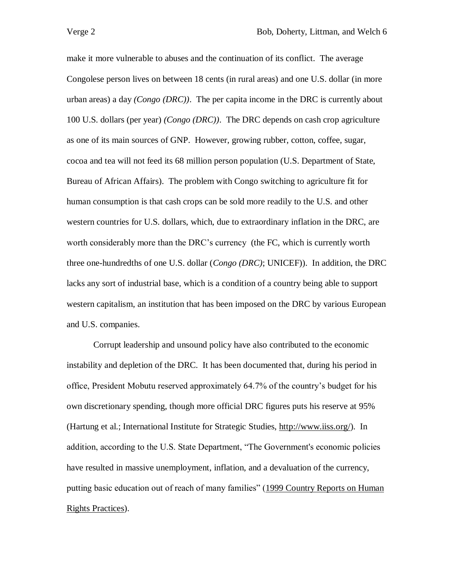make it more vulnerable to abuses and the continuation of its conflict. The average Congolese person lives on between 18 cents (in rural areas) and one U.S. dollar (in more urban areas) a day *(Congo (DRC))*. The per capita income in the DRC is currently about 100 U.S. dollars (per year) *(Congo (DRC))*. The DRC depends on cash crop agriculture as one of its main sources of GNP. However, growing rubber, cotton, coffee, sugar, cocoa and tea will not feed its 68 million person population (U.S. Department of State, Bureau of African Affairs). The problem with Congo switching to agriculture fit for human consumption is that cash crops can be sold more readily to the U.S. and other western countries for U.S. dollars, which, due to extraordinary inflation in the DRC, are worth considerably more than the DRC's currency (the FC, which is currently worth three one-hundredths of one U.S. dollar (*Congo (DRC)*; UNICEF)). In addition, the DRC lacks any sort of industrial base, which is a condition of a country being able to support western capitalism, an institution that has been imposed on the DRC by various European and U.S. companies.

Corrupt leadership and unsound policy have also contributed to the economic instability and depletion of the DRC. It has been documented that, during his period in office, President Mobutu reserved approximately 64.7% of the country's budget for his own discretionary spending, though more official DRC figures puts his reserve at 95% (Hartung et al.; International Institute for Strategic Studies, http://www.iiss.org/). In addition, according to the U.S. State Department, "The Government's economic policies have resulted in massive unemployment, inflation, and a devaluation of the currency, putting basic education out of reach of many families" (1999 Country Reports on Human Rights Practices).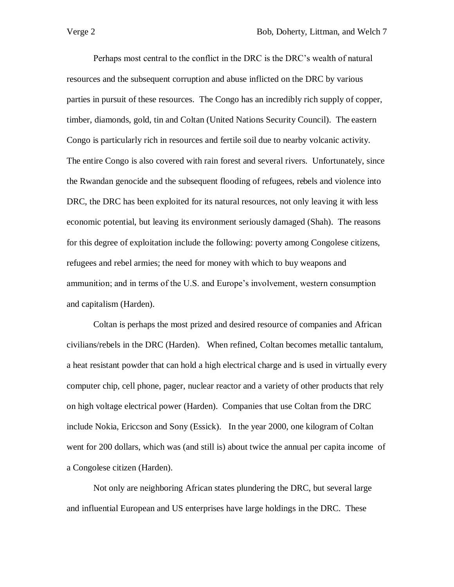Perhaps most central to the conflict in the DRC is the DRC's wealth of natural resources and the subsequent corruption and abuse inflicted on the DRC by various parties in pursuit of these resources. The Congo has an incredibly rich supply of copper, timber, diamonds, gold, tin and Coltan (United Nations Security Council). The eastern Congo is particularly rich in resources and fertile soil due to nearby volcanic activity. The entire Congo is also covered with rain forest and several rivers. Unfortunately, since the Rwandan genocide and the subsequent flooding of refugees, rebels and violence into DRC, the DRC has been exploited for its natural resources, not only leaving it with less economic potential, but leaving its environment seriously damaged (Shah). The reasons for this degree of exploitation include the following: poverty among Congolese citizens, refugees and rebel armies; the need for money with which to buy weapons and ammunition; and in terms of the U.S. and Europe's involvement, western consumption and capitalism (Harden).

Coltan is perhaps the most prized and desired resource of companies and African civilians/rebels in the DRC (Harden). When refined, Coltan becomes metallic tantalum, a heat resistant powder that can hold a high electrical charge and is used in virtually every computer chip, cell phone, pager, nuclear reactor and a variety of other products that rely on high voltage electrical power (Harden). Companies that use Coltan from the DRC include Nokia, Ericcson and Sony (Essick). In the year 2000, one kilogram of Coltan went for 200 dollars, which was (and still is) about twice the annual per capita income of a Congolese citizen (Harden).

Not only are neighboring African states plundering the DRC, but several large and influential European and US enterprises have large holdings in the DRC. These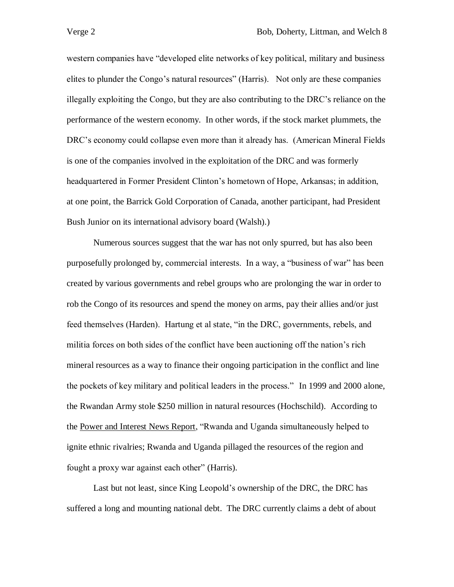western companies have "developed elite networks of key political, military and business elites to plunder the Congo's natural resources" (Harris). Not only are these companies illegally exploiting the Congo, but they are also contributing to the DRC's reliance on the performance of the western economy. In other words, if the stock market plummets, the DRC's economy could collapse even more than it already has. (American Mineral Fields is one of the companies involved in the exploitation of the DRC and was formerly headquartered in Former President Clinton's hometown of Hope, Arkansas; in addition, at one point, the Barrick Gold Corporation of Canada, another participant, had President Bush Junior on its international advisory board (Walsh).)

Numerous sources suggest that the war has not only spurred, but has also been purposefully prolonged by, commercial interests. In a way, a "business of war" has been created by various governments and rebel groups who are prolonging the war in order to rob the Congo of its resources and spend the money on arms, pay their allies and/or just feed themselves (Harden). Hartung et al state, "in the DRC, governments, rebels, and militia forces on both sides of the conflict have been auctioning off the nation's rich mineral resources as a way to finance their ongoing participation in the conflict and line the pockets of key military and political leaders in the process." In 1999 and 2000 alone, the Rwandan Army stole \$250 million in natural resources (Hochschild). According to the Power and Interest News Report, "Rwanda and Uganda simultaneously helped to ignite ethnic rivalries; Rwanda and Uganda pillaged the resources of the region and fought a proxy war against each other" (Harris).

Last but not least, since King Leopold's ownership of the DRC, the DRC has suffered a long and mounting national debt. The DRC currently claims a debt of about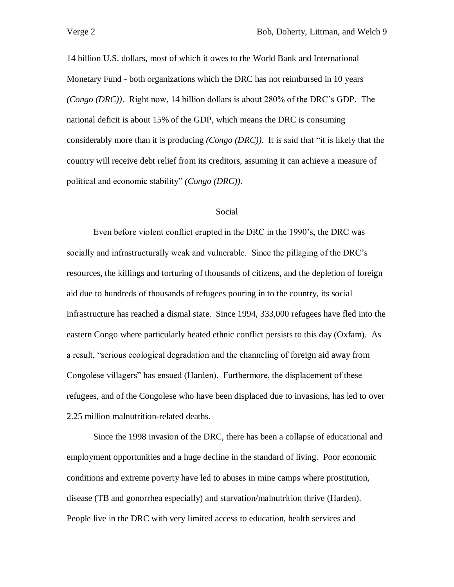14 billion U.S. dollars, most of which it owes to the World Bank and International Monetary Fund - both organizations which the DRC has not reimbursed in 10 years *(Congo (DRC))*. Right now, 14 billion dollars is about 280% of the DRC's GDP. The national deficit is about 15% of the GDP, which means the DRC is consuming considerably more than it is producing *(Congo (DRC))*. It is said that "it is likely that the country will receive debt relief from its creditors, assuming it can achieve a measure of political and economic stability" *(Congo (DRC))*.

### Social

Even before violent conflict erupted in the DRC in the 1990's, the DRC was socially and infrastructurally weak and vulnerable. Since the pillaging of the DRC's resources, the killings and torturing of thousands of citizens, and the depletion of foreign aid due to hundreds of thousands of refugees pouring in to the country, its social infrastructure has reached a dismal state. Since 1994, 333,000 refugees have fled into the eastern Congo where particularly heated ethnic conflict persists to this day (Oxfam). As a result, "serious ecological degradation and the channeling of foreign aid away from Congolese villagers" has ensued (Harden). Furthermore, the displacement of these refugees, and of the Congolese who have been displaced due to invasions, has led to over 2.25 million malnutrition-related deaths.

Since the 1998 invasion of the DRC, there has been a collapse of educational and employment opportunities and a huge decline in the standard of living. Poor economic conditions and extreme poverty have led to abuses in mine camps where prostitution, disease (TB and gonorrhea especially) and starvation/malnutrition thrive (Harden). People live in the DRC with very limited access to education, health services and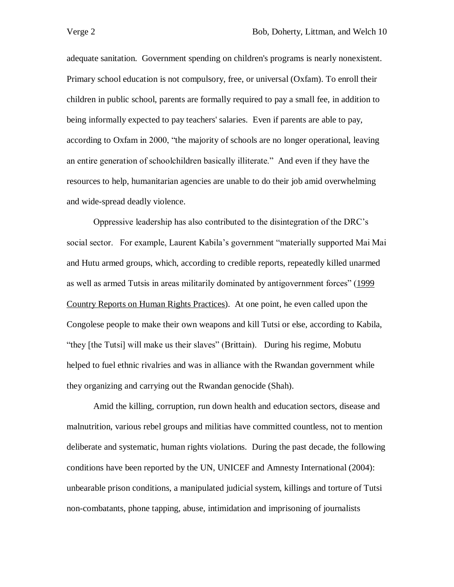adequate sanitation. Government spending on children's programs is nearly nonexistent. Primary school education is not compulsory, free, or universal (Oxfam). To enroll their children in public school, parents are formally required to pay a small fee, in addition to being informally expected to pay teachers' salaries. Even if parents are able to pay, according to Oxfam in 2000, "the majority of schools are no longer operational, leaving an entire generation of schoolchildren basically illiterate." And even if they have the resources to help, humanitarian agencies are unable to do their job amid overwhelming and wide-spread deadly violence.

Oppressive leadership has also contributed to the disintegration of the DRC's social sector. For example, Laurent Kabila's government "materially supported Mai Mai and Hutu armed groups, which, according to credible reports, repeatedly killed unarmed as well as armed Tutsis in areas militarily dominated by antigovernment forces" (1999 Country Reports on Human Rights Practices). At one point, he even called upon the Congolese people to make their own weapons and kill Tutsi or else, according to Kabila, "they [the Tutsi] will make us their slaves" (Brittain). During his regime, Mobutu helped to fuel ethnic rivalries and was in alliance with the Rwandan government while they organizing and carrying out the Rwandan genocide (Shah).

Amid the killing, corruption, run down health and education sectors, disease and malnutrition, various rebel groups and militias have committed countless, not to mention deliberate and systematic, human rights violations. During the past decade, the following conditions have been reported by the UN, UNICEF and Amnesty International (2004): unbearable prison conditions, a manipulated judicial system, killings and torture of Tutsi non-combatants, phone tapping, abuse, intimidation and imprisoning of journalists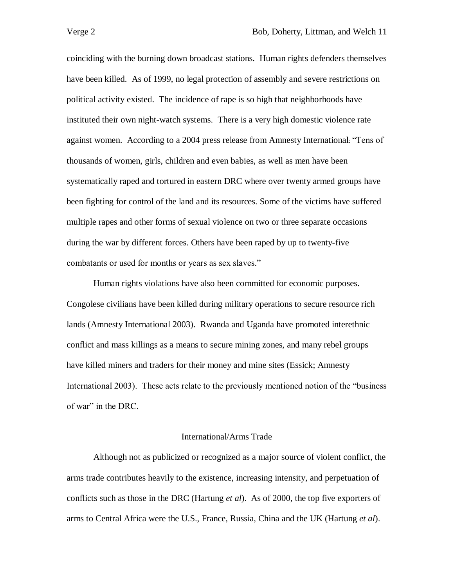coinciding with the burning down broadcast stations. Human rights defenders themselves have been killed. As of 1999, no legal protection of assembly and severe restrictions on political activity existed. The incidence of rape is so high that neighborhoods have instituted their own night-watch systems. There is a very high domestic violence rate against women. According to a 2004 press release from Amnesty International: "Tens of thousands of women, girls, children and even babies, as well as men have been systematically raped and tortured in eastern DRC where over twenty armed groups have been fighting for control of the land and its resources. Some of the victims have suffered multiple rapes and other forms of sexual violence on two or three separate occasions during the war by different forces. Others have been raped by up to twenty-five combatants or used for months or years as sex slaves."

Human rights violations have also been committed for economic purposes. Congolese civilians have been killed during military operations to secure resource rich lands (Amnesty International 2003). Rwanda and Uganda have promoted interethnic conflict and mass killings as a means to secure mining zones, and many rebel groups have killed miners and traders for their money and mine sites (Essick; Amnesty International 2003). These acts relate to the previously mentioned notion of the "business of war" in the DRC.

#### International/Arms Trade

Although not as publicized or recognized as a major source of violent conflict, the arms trade contributes heavily to the existence, increasing intensity, and perpetuation of conflicts such as those in the DRC (Hartung *et al*). As of 2000, the top five exporters of arms to Central Africa were the U.S., France, Russia, China and the UK (Hartung *et al*).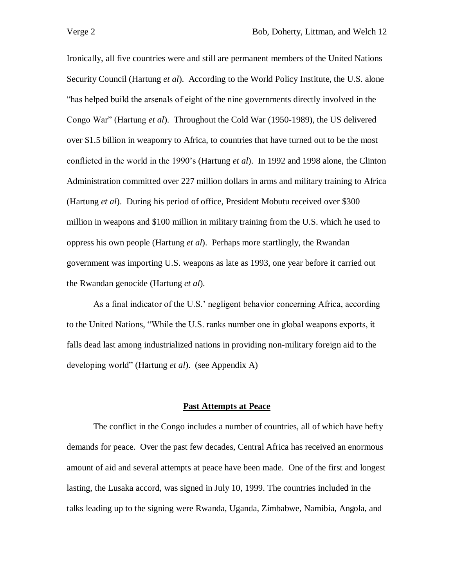Ironically, all five countries were and still are permanent members of the United Nations Security Council (Hartung *et al*). According to the World Policy Institute, the U.S. alone "has helped build the arsenals of eight of the nine governments directly involved in the Congo War" (Hartung *et al*). Throughout the Cold War (1950-1989), the US delivered over \$1.5 billion in weaponry to Africa, to countries that have turned out to be the most conflicted in the world in the 1990's (Hartung *et al*). In 1992 and 1998 alone, the Clinton Administration committed over 227 million dollars in arms and military training to Africa (Hartung *et al*). During his period of office, President Mobutu received over \$300 million in weapons and \$100 million in military training from the U.S. which he used to oppress his own people (Hartung *et al*). Perhaps more startlingly, the Rwandan government was importing U.S. weapons as late as 1993, one year before it carried out the Rwandan genocide (Hartung *et al*).

As a final indicator of the U.S.' negligent behavior concerning Africa, according to the United Nations, "While the U.S. ranks number one in global weapons exports, it falls dead last among industrialized nations in providing non-military foreign aid to the developing world" (Hartung *et al*). (see Appendix A)

### **Past Attempts at Peace**

The conflict in the Congo includes a number of countries, all of which have hefty demands for peace. Over the past few decades, Central Africa has received an enormous amount of aid and several attempts at peace have been made. One of the first and longest lasting, the Lusaka accord, was signed in July 10, 1999. The countries included in the talks leading up to the signing were Rwanda, Uganda, Zimbabwe, Namibia, Angola, and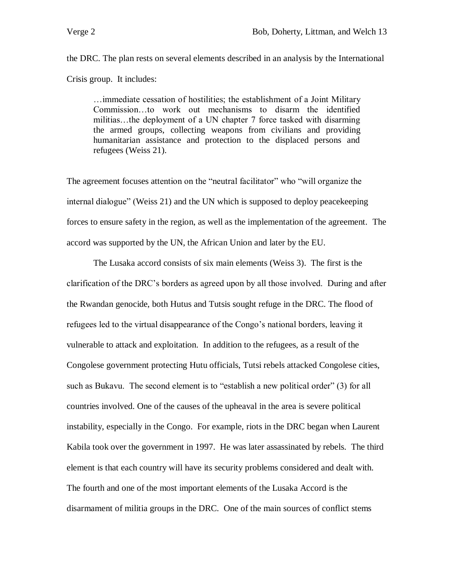the DRC. The plan rests on several elements described in an analysis by the International Crisis group. It includes:

…immediate cessation of hostilities; the establishment of a Joint Military Commission…to work out mechanisms to disarm the identified militias…the deployment of a UN chapter 7 force tasked with disarming the armed groups, collecting weapons from civilians and providing humanitarian assistance and protection to the displaced persons and refugees (Weiss 21).

The agreement focuses attention on the "neutral facilitator" who "will organize the internal dialogue" (Weiss 21) and the UN which is supposed to deploy peacekeeping forces to ensure safety in the region, as well as the implementation of the agreement. The accord was supported by the UN, the African Union and later by the EU.

The Lusaka accord consists of six main elements (Weiss 3). The first is the clarification of the DRC's borders as agreed upon by all those involved. During and after the Rwandan genocide, both Hutus and Tutsis sought refuge in the DRC. The flood of refugees led to the virtual disappearance of the Congo's national borders, leaving it vulnerable to attack and exploitation. In addition to the refugees, as a result of the Congolese government protecting Hutu officials, Tutsi rebels attacked Congolese cities, such as Bukavu. The second element is to "establish a new political order" (3) for all countries involved. One of the causes of the upheaval in the area is severe political instability, especially in the Congo. For example, riots in the DRC began when Laurent Kabila took over the government in 1997. He was later assassinated by rebels. The third element is that each country will have its security problems considered and dealt with. The fourth and one of the most important elements of the Lusaka Accord is the disarmament of militia groups in the DRC. One of the main sources of conflict stems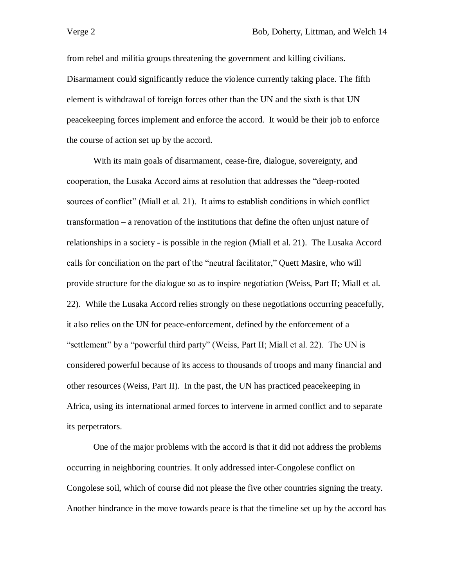from rebel and militia groups threatening the government and killing civilians. Disarmament could significantly reduce the violence currently taking place. The fifth element is withdrawal of foreign forces other than the UN and the sixth is that UN peacekeeping forces implement and enforce the accord. It would be their job to enforce the course of action set up by the accord.

With its main goals of disarmament, cease-fire, dialogue, sovereignty, and cooperation, the Lusaka Accord aims at resolution that addresses the "deep-rooted sources of conflict" (Miall et al. 21). It aims to establish conditions in which conflict transformation – a renovation of the institutions that define the often unjust nature of relationships in a society - is possible in the region (Miall et al. 21). The Lusaka Accord calls for conciliation on the part of the "neutral facilitator," Quett Masire, who will provide structure for the dialogue so as to inspire negotiation (Weiss, Part II; Miall et al. 22). While the Lusaka Accord relies strongly on these negotiations occurring peacefully, it also relies on the UN for peace-enforcement, defined by the enforcement of a "settlement" by a "powerful third party" (Weiss, Part II; Miall et al. 22). The UN is considered powerful because of its access to thousands of troops and many financial and other resources (Weiss, Part II). In the past, the UN has practiced peacekeeping in Africa, using its international armed forces to intervene in armed conflict and to separate its perpetrators.

One of the major problems with the accord is that it did not address the problems occurring in neighboring countries. It only addressed inter-Congolese conflict on Congolese soil, which of course did not please the five other countries signing the treaty. Another hindrance in the move towards peace is that the timeline set up by the accord has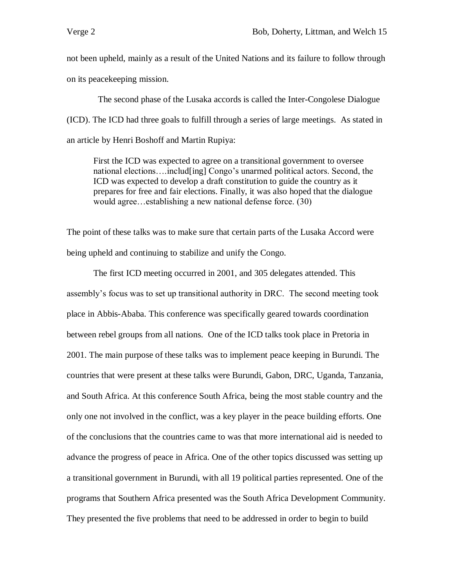not been upheld, mainly as a result of the United Nations and its failure to follow through on its peacekeeping mission.

 The second phase of the Lusaka accords is called the Inter-Congolese Dialogue (ICD). The ICD had three goals to fulfill through a series of large meetings. As stated in an article by Henri Boshoff and Martin Rupiya:

First the ICD was expected to agree on a transitional government to oversee national elections….includ[ing] Congo's unarmed political actors. Second, the ICD was expected to develop a draft constitution to guide the country as it prepares for free and fair elections. Finally, it was also hoped that the dialogue would agree…establishing a new national defense force. (30)

The point of these talks was to make sure that certain parts of the Lusaka Accord were being upheld and continuing to stabilize and unify the Congo.

The first ICD meeting occurred in 2001, and 305 delegates attended. This assembly's focus was to set up transitional authority in DRC. The second meeting took place in Abbis-Ababa. This conference was specifically geared towards coordination between rebel groups from all nations. One of the ICD talks took place in Pretoria in 2001. The main purpose of these talks was to implement peace keeping in Burundi. The countries that were present at these talks were Burundi, Gabon, DRC, Uganda, Tanzania, and South Africa. At this conference South Africa, being the most stable country and the only one not involved in the conflict, was a key player in the peace building efforts. One of the conclusions that the countries came to was that more international aid is needed to advance the progress of peace in Africa. One of the other topics discussed was setting up a transitional government in Burundi, with all 19 political parties represented. One of the programs that Southern Africa presented was the South Africa Development Community. They presented the five problems that need to be addressed in order to begin to build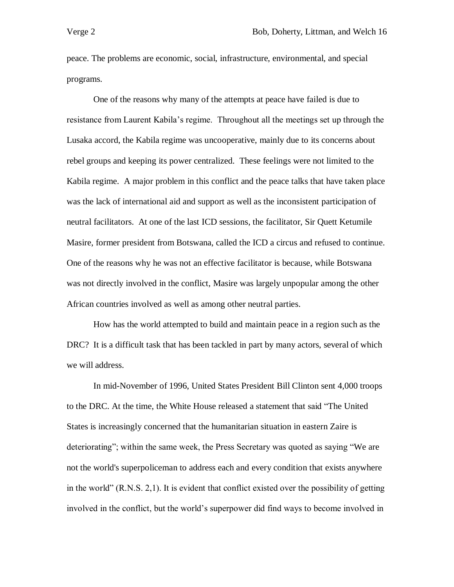peace. The problems are economic, social, infrastructure, environmental, and special programs.

One of the reasons why many of the attempts at peace have failed is due to resistance from Laurent Kabila's regime. Throughout all the meetings set up through the Lusaka accord, the Kabila regime was uncooperative, mainly due to its concerns about rebel groups and keeping its power centralized. These feelings were not limited to the Kabila regime. A major problem in this conflict and the peace talks that have taken place was the lack of international aid and support as well as the inconsistent participation of neutral facilitators. At one of the last ICD sessions, the facilitator, Sir Quett Ketumile Masire, former president from Botswana, called the ICD a circus and refused to continue. One of the reasons why he was not an effective facilitator is because, while Botswana was not directly involved in the conflict, Masire was largely unpopular among the other African countries involved as well as among other neutral parties.

How has the world attempted to build and maintain peace in a region such as the DRC? It is a difficult task that has been tackled in part by many actors, several of which we will address.

In mid-November of 1996, United States President Bill Clinton sent 4,000 troops to the DRC. At the time, the White House released a statement that said "The United States is increasingly concerned that the humanitarian situation in eastern Zaire is deteriorating"; within the same week, the Press Secretary was quoted as saying "We are not the world's superpoliceman to address each and every condition that exists anywhere in the world" (R.N.S. 2,1). It is evident that conflict existed over the possibility of getting involved in the conflict, but the world's superpower did find ways to become involved in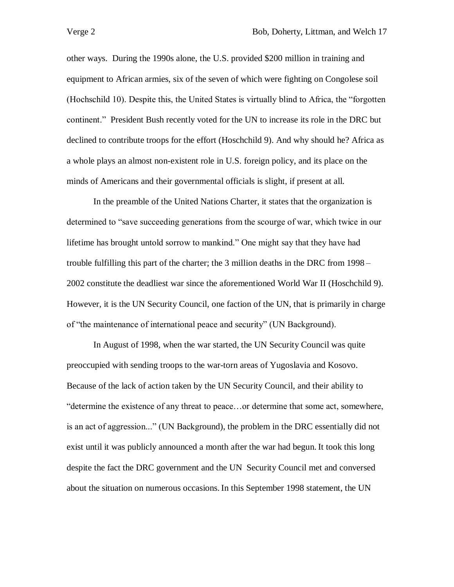other ways. During the 1990s alone, the U.S. provided \$200 million in training and equipment to African armies, six of the seven of which were fighting on Congolese soil (Hochschild 10). Despite this, the United States is virtually blind to Africa, the "forgotten continent." President Bush recently voted for the UN to increase its role in the DRC but declined to contribute troops for the effort (Hoschchild 9). And why should he? Africa as a whole plays an almost non-existent role in U.S. foreign policy, and its place on the minds of Americans and their governmental officials is slight, if present at all.

In the preamble of the United Nations Charter, it states that the organization is determined to "save succeeding generations from the scourge of war, which twice in our lifetime has brought untold sorrow to mankind." One might say that they have had trouble fulfilling this part of the charter; the 3 million deaths in the DRC from 1998 – 2002 constitute the deadliest war since the aforementioned World War II (Hoschchild 9). However, it is the UN Security Council, one faction of the UN, that is primarily in charge of "the maintenance of international peace and security" (UN Background).

In August of 1998, when the war started, the UN Security Council was quite preoccupied with sending troops to the war-torn areas of Yugoslavia and Kosovo. Because of the lack of action taken by the UN Security Council, and their ability to "determine the existence of any threat to peace…or determine that some act, somewhere, is an act of aggression..." (UN Background), the problem in the DRC essentially did not exist until it was publicly announced a month after the war had begun. It took this long despite the fact the DRC government and the UN Security Council met and conversed about the situation on numerous occasions. In this September 1998 statement, the UN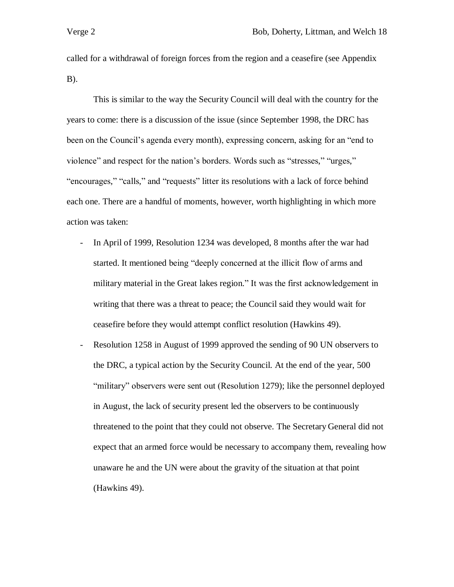called for a withdrawal of foreign forces from the region and a ceasefire (see Appendix B).

This is similar to the way the Security Council will deal with the country for the years to come: there is a discussion of the issue (since September 1998, the DRC has been on the Council's agenda every month), expressing concern, asking for an "end to violence" and respect for the nation's borders. Words such as "stresses," "urges," "encourages," "calls," and "requests" litter its resolutions with a lack of force behind each one. There are a handful of moments, however, worth highlighting in which more action was taken:

- In April of 1999, Resolution 1234 was developed, 8 months after the war had started. It mentioned being "deeply concerned at the illicit flow of arms and military material in the Great lakes region." It was the first acknowledgement in writing that there was a threat to peace; the Council said they would wait for ceasefire before they would attempt conflict resolution (Hawkins 49).
- Resolution 1258 in August of 1999 approved the sending of 90 UN observers to the DRC, a typical action by the Security Council. At the end of the year, 500 "military" observers were sent out (Resolution 1279); like the personnel deployed in August, the lack of security present led the observers to be continuously threatened to the point that they could not observe. The Secretary General did not expect that an armed force would be necessary to accompany them, revealing how unaware he and the UN were about the gravity of the situation at that point (Hawkins 49).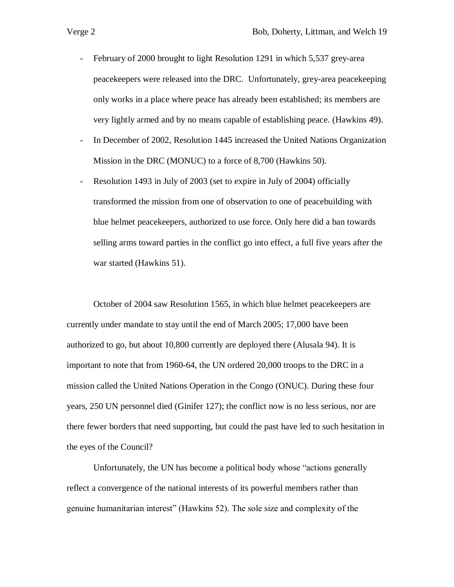- February of 2000 brought to light Resolution 1291 in which 5,537 grey-area peacekeepers were released into the DRC. Unfortunately, grey-area peacekeeping only works in a place where peace has already been established; its members are very lightly armed and by no means capable of establishing peace. (Hawkins 49).
- In December of 2002, Resolution 1445 increased the United Nations Organization Mission in the DRC (MONUC) to a force of 8,700 (Hawkins 50).
- Resolution 1493 in July of 2003 (set to expire in July of 2004) officially transformed the mission from one of observation to one of peacebuilding with blue helmet peacekeepers, authorized to use force. Only here did a ban towards selling arms toward parties in the conflict go into effect, a full five years after the war started (Hawkins 51).

October of 2004 saw Resolution 1565, in which blue helmet peacekeepers are currently under mandate to stay until the end of March 2005; 17,000 have been authorized to go, but about 10,800 currently are deployed there (Alusala 94). It is important to note that from 1960-64, the UN ordered 20,000 troops to the DRC in a mission called the United Nations Operation in the Congo (ONUC). During these four years, 250 UN personnel died (Ginifer 127); the conflict now is no less serious, nor are there fewer borders that need supporting, but could the past have led to such hesitation in the eyes of the Council?

Unfortunately, the UN has become a political body whose "actions generally reflect a convergence of the national interests of its powerful members rather than genuine humanitarian interest" (Hawkins 52). The sole size and complexity of the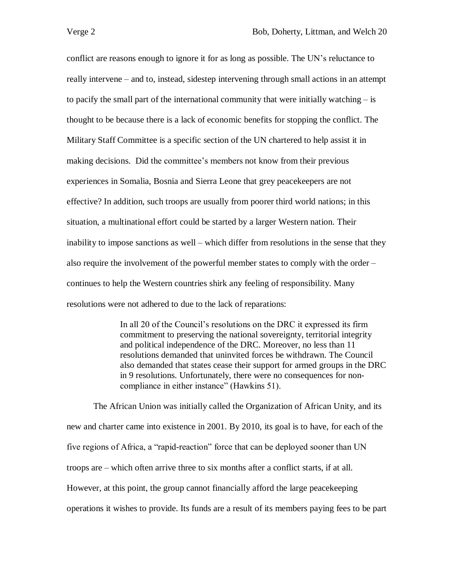conflict are reasons enough to ignore it for as long as possible. The UN's reluctance to really intervene – and to, instead, sidestep intervening through small actions in an attempt to pacify the small part of the international community that were initially watching – is thought to be because there is a lack of economic benefits for stopping the conflict. The Military Staff Committee is a specific section of the UN chartered to help assist it in making decisions. Did the committee's members not know from their previous experiences in Somalia, Bosnia and Sierra Leone that grey peacekeepers are not effective? In addition, such troops are usually from poorer third world nations; in this situation, a multinational effort could be started by a larger Western nation. Their inability to impose sanctions as well – which differ from resolutions in the sense that they also require the involvement of the powerful member states to comply with the order – continues to help the Western countries shirk any feeling of responsibility. Many resolutions were not adhered to due to the lack of reparations:

> In all 20 of the Council's resolutions on the DRC it expressed its firm commitment to preserving the national sovereignty, territorial integrity and political independence of the DRC. Moreover, no less than 11 resolutions demanded that uninvited forces be withdrawn. The Council also demanded that states cease their support for armed groups in the DRC in 9 resolutions. Unfortunately, there were no consequences for noncompliance in either instance" (Hawkins 51).

The African Union was initially called the Organization of African Unity, and its new and charter came into existence in 2001. By 2010, its goal is to have, for each of the five regions of Africa, a "rapid-reaction" force that can be deployed sooner than UN troops are – which often arrive three to six months after a conflict starts, if at all. However, at this point, the group cannot financially afford the large peacekeeping operations it wishes to provide. Its funds are a result of its members paying fees to be part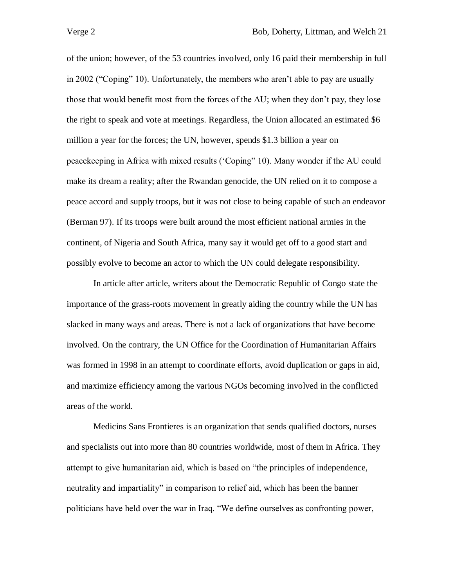of the union; however, of the 53 countries involved, only 16 paid their membership in full in 2002 ("Coping" 10). Unfortunately, the members who aren't able to pay are usually those that would benefit most from the forces of the AU; when they don't pay, they lose the right to speak and vote at meetings. Regardless, the Union allocated an estimated \$6 million a year for the forces; the UN, however, spends \$1.3 billion a year on peacekeeping in Africa with mixed results ('Coping" 10). Many wonder if the AU could make its dream a reality; after the Rwandan genocide, the UN relied on it to compose a peace accord and supply troops, but it was not close to being capable of such an endeavor (Berman 97). If its troops were built around the most efficient national armies in the continent, of Nigeria and South Africa, many say it would get off to a good start and possibly evolve to become an actor to which the UN could delegate responsibility.

In article after article, writers about the Democratic Republic of Congo state the importance of the grass-roots movement in greatly aiding the country while the UN has slacked in many ways and areas. There is not a lack of organizations that have become involved. On the contrary, the UN Office for the Coordination of Humanitarian Affairs was formed in 1998 in an attempt to coordinate efforts, avoid duplication or gaps in aid, and maximize efficiency among the various NGOs becoming involved in the conflicted areas of the world.

Medicins Sans Frontieres is an organization that sends qualified doctors, nurses and specialists out into more than 80 countries worldwide, most of them in Africa. They attempt to give humanitarian aid, which is based on "the principles of independence, neutrality and impartiality" in comparison to relief aid, which has been the banner politicians have held over the war in Iraq. "We define ourselves as confronting power,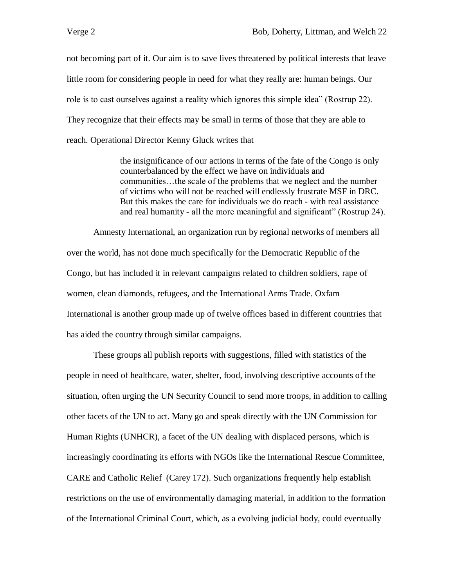not becoming part of it. Our aim is to save lives threatened by political interests that leave little room for considering people in need for what they really are: human beings. Our role is to cast ourselves against a reality which ignores this simple idea" (Rostrup 22). They recognize that their effects may be small in terms of those that they are able to reach. Operational Director Kenny Gluck writes that

> the insignificance of our actions in terms of the fate of the Congo is only counterbalanced by the effect we have on individuals and communities…the scale of the problems that we neglect and the number of victims who will not be reached will endlessly frustrate MSF in DRC. But this makes the care for individuals we do reach - with real assistance and real humanity - all the more meaningful and significant" (Rostrup 24).

Amnesty International, an organization run by regional networks of members all over the world, has not done much specifically for the Democratic Republic of the Congo, but has included it in relevant campaigns related to children soldiers, rape of women, clean diamonds, refugees, and the International Arms Trade. Oxfam International is another group made up of twelve offices based in different countries that has aided the country through similar campaigns.

These groups all publish reports with suggestions, filled with statistics of the people in need of healthcare, water, shelter, food, involving descriptive accounts of the situation, often urging the UN Security Council to send more troops, in addition to calling other facets of the UN to act. Many go and speak directly with the UN Commission for Human Rights (UNHCR), a facet of the UN dealing with displaced persons, which is increasingly coordinating its efforts with NGOs like the International Rescue Committee, CARE and Catholic Relief (Carey 172). Such organizations frequently help establish restrictions on the use of environmentally damaging material, in addition to the formation of the International Criminal Court, which, as a evolving judicial body, could eventually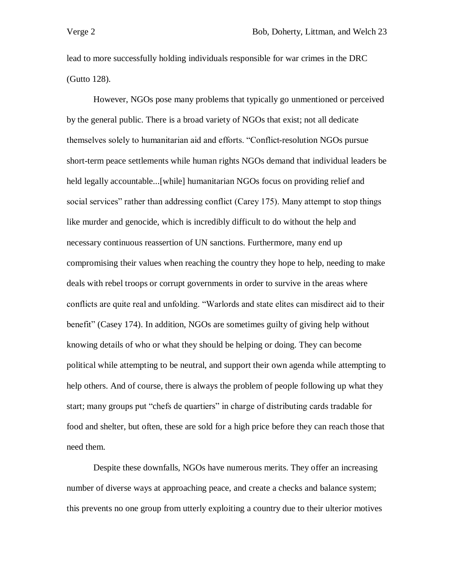lead to more successfully holding individuals responsible for war crimes in the DRC (Gutto 128).

However, NGOs pose many problems that typically go unmentioned or perceived by the general public. There is a broad variety of NGOs that exist; not all dedicate themselves solely to humanitarian aid and efforts. "Conflict-resolution NGOs pursue short-term peace settlements while human rights NGOs demand that individual leaders be held legally accountable...[while] humanitarian NGOs focus on providing relief and social services" rather than addressing conflict (Carey 175). Many attempt to stop things like murder and genocide, which is incredibly difficult to do without the help and necessary continuous reassertion of UN sanctions. Furthermore, many end up compromising their values when reaching the country they hope to help, needing to make deals with rebel troops or corrupt governments in order to survive in the areas where conflicts are quite real and unfolding. "Warlords and state elites can misdirect aid to their benefit" (Casey 174). In addition, NGOs are sometimes guilty of giving help without knowing details of who or what they should be helping or doing. They can become political while attempting to be neutral, and support their own agenda while attempting to help others. And of course, there is always the problem of people following up what they start; many groups put "chefs de quartiers" in charge of distributing cards tradable for food and shelter, but often, these are sold for a high price before they can reach those that need them.

Despite these downfalls, NGOs have numerous merits. They offer an increasing number of diverse ways at approaching peace, and create a checks and balance system; this prevents no one group from utterly exploiting a country due to their ulterior motives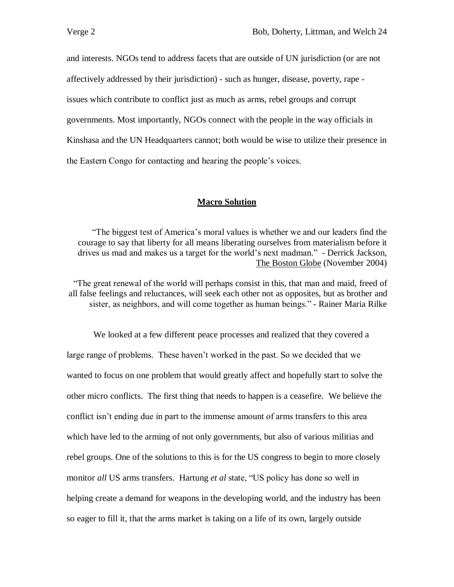and interests. NGOs tend to address facets that are outside of UN jurisdiction (or are not affectively addressed by their jurisdiction) - such as hunger, disease, poverty, rape issues which contribute to conflict just as much as arms, rebel groups and corrupt governments. Most importantly, NGOs connect with the people in the way officials in Kinshasa and the UN Headquarters cannot; both would be wise to utilize their presence in the Eastern Congo for contacting and hearing the people's voices.

### **Macro Solution**

"The biggest test of America's moral values is whether we and our leaders find the courage to say that liberty for all means liberating ourselves from materialism before it drives us mad and makes us a target for the world's next madman." - Derrick Jackson, The Boston Globe (November 2004)

"The great renewal of the world will perhaps consist in this, that man and maid, freed of all false feelings and reluctances, will seek each other not as opposites, but as brother and sister, as neighbors, and will come together as human beings." - Rainer Maria Rilke

We looked at a few different peace processes and realized that they covered a large range of problems. These haven't worked in the past. So we decided that we wanted to focus on one problem that would greatly affect and hopefully start to solve the other micro conflicts. The first thing that needs to happen is a ceasefire. We believe the conflict isn't ending due in part to the immense amount of arms transfers to this area which have led to the arming of not only governments, but also of various militias and rebel groups. One of the solutions to this is for the US congress to begin to more closely monitor *all* US arms transfers. Hartung *et al* state, "US policy has done so well in helping create a demand for weapons in the developing world, and the industry has been so eager to fill it, that the arms market is taking on a life of its own, largely outside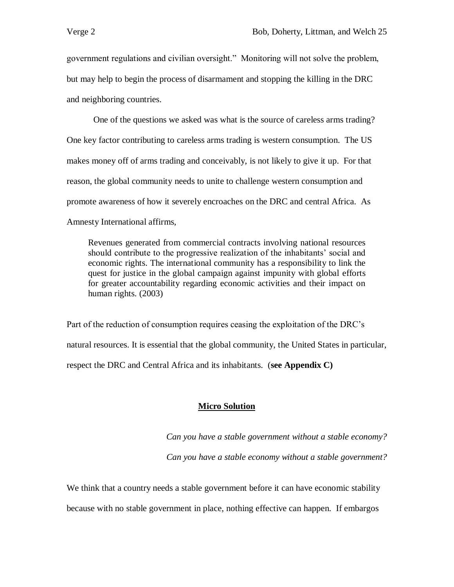government regulations and civilian oversight." Monitoring will not solve the problem, but may help to begin the process of disarmament and stopping the killing in the DRC and neighboring countries.

One of the questions we asked was what is the source of careless arms trading? One key factor contributing to careless arms trading is western consumption. The US makes money off of arms trading and conceivably, is not likely to give it up. For that reason, the global community needs to unite to challenge western consumption and promote awareness of how it severely encroaches on the DRC and central Africa. As Amnesty International affirms,

Revenues generated from commercial contracts involving national resources should contribute to the progressive realization of the inhabitants' social and economic rights. The international community has a responsibility to link the quest for justice in the global campaign against impunity with global efforts for greater accountability regarding economic activities and their impact on human rights. (2003)

Part of the reduction of consumption requires ceasing the exploitation of the DRC's natural resources. It is essential that the global community, the United States in particular, respect the DRC and Central Africa and its inhabitants. (**see Appendix C)**

## **Micro Solution**

*Can you have a stable government without a stable economy? Can you have a stable economy without a stable government?*

We think that a country needs a stable government before it can have economic stability because with no stable government in place, nothing effective can happen. If embargos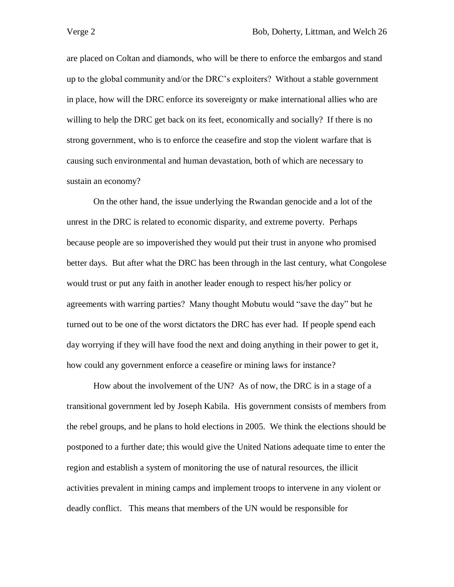are placed on Coltan and diamonds, who will be there to enforce the embargos and stand up to the global community and/or the DRC's exploiters? Without a stable government in place, how will the DRC enforce its sovereignty or make international allies who are willing to help the DRC get back on its feet, economically and socially? If there is no strong government, who is to enforce the ceasefire and stop the violent warfare that is causing such environmental and human devastation, both of which are necessary to sustain an economy?

On the other hand, the issue underlying the Rwandan genocide and a lot of the unrest in the DRC is related to economic disparity, and extreme poverty. Perhaps because people are so impoverished they would put their trust in anyone who promised better days. But after what the DRC has been through in the last century, what Congolese would trust or put any faith in another leader enough to respect his/her policy or agreements with warring parties? Many thought Mobutu would "save the day" but he turned out to be one of the worst dictators the DRC has ever had. If people spend each day worrying if they will have food the next and doing anything in their power to get it, how could any government enforce a ceasefire or mining laws for instance?

How about the involvement of the UN? As of now, the DRC is in a stage of a transitional government led by Joseph Kabila. His government consists of members from the rebel groups, and he plans to hold elections in 2005. We think the elections should be postponed to a further date; this would give the United Nations adequate time to enter the region and establish a system of monitoring the use of natural resources, the illicit activities prevalent in mining camps and implement troops to intervene in any violent or deadly conflict. This means that members of the UN would be responsible for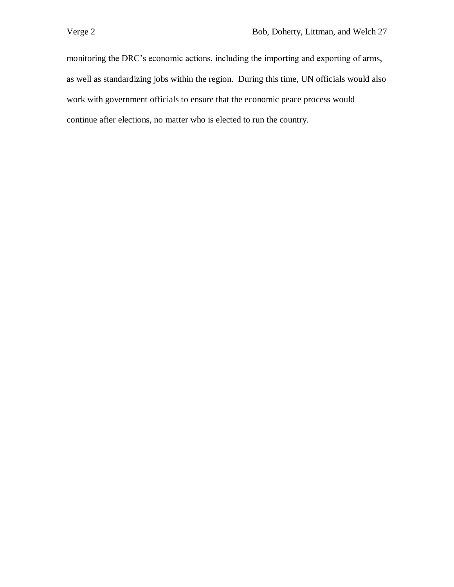monitoring the DRC's economic actions, including the importing and exporting of arms, as well as standardizing jobs within the region. During this time, UN officials would also work with government officials to ensure that the economic peace process would continue after elections, no matter who is elected to run the country.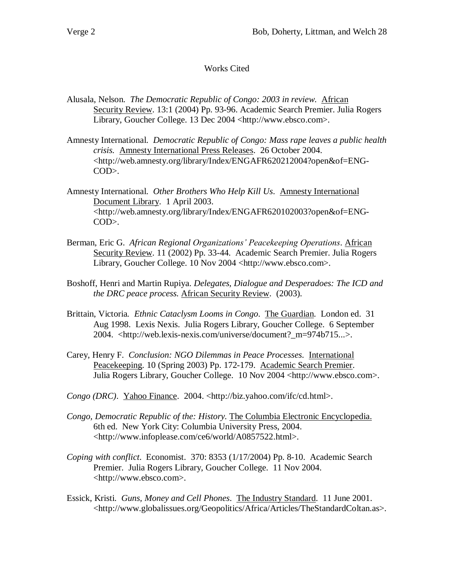# Works Cited

- Alusala, Nelson. *The Democratic Republic of Congo: 2003 in review*. African Security Review. 13:1 (2004) Pp. 93-96. Academic Search Premier. Julia Rogers Library, Goucher College. 13 Dec 2004 <http://www.ebsco.com>.
- Amnesty International. *Democratic Republic of Congo: Mass rape leaves a public health crisis.* Amnesty International Press Releases. 26 October 2004. <http://web.amnesty.org/library/Index/ENGAFR620212004?open&of=ENG-COD>.
- Amnesty International. *Other Brothers Who Help Kill Us*. Amnesty International Document Library. 1 April 2003. <http://web.amnesty.org/library/Index/ENGAFR620102003?open&of=ENG-COD>.
- Berman, Eric G. *African Regional Organizations' Peacekeeping Operations*. African Security Review. 11 (2002) Pp. 33-44. Academic Search Premier. Julia Rogers Library, Goucher College. 10 Nov 2004 <http://www.ebsco.com>.
- Boshoff, Henri and Martin Rupiya. *Delegates, Dialogue and Desperadoes: The ICD and the DRC peace process*. African Security Review. (2003).
- Brittain, Victoria*. Ethnic Cataclysm Looms in Congo*. The Guardian. London ed. 31 Aug 1998. Lexis Nexis. Julia Rogers Library, Goucher College. 6 September 2004. <http://web.lexis-nexis.com/universe/document?\_m=974b715...>.
- Carey, Henry F. *Conclusion: NGO Dilemmas in Peace Processes*. International Peacekeeping. 10 (Spring 2003) Pp. 172-179. Academic Search Premier. Julia Rogers Library, Goucher College. 10 Nov 2004 <http://www.ebsco.com>.
- *Congo (DRC)*. Yahoo Finance. 2004. <http://biz.yahoo.com/ifc/cd.html>.
- *Congo, Democratic Republic of the: History.* The Columbia Electronic Encyclopedia. 6th ed. New York City: Columbia University Press, 2004. <http://www.infoplease.com/ce6/world/A0857522.html>.
- *Coping with conflict*. Economist. 370: 8353 (1/17/2004) Pp. 8-10. Academic Search Premier. Julia Rogers Library, Goucher College. 11 Nov 2004. [<http://www.ebsco.com](https://email.goucher.edu/exchweb/bin/redir.asp?URL=http://www.ebsco.com)>.
- Essick, Kristi. *Guns, Money and Cell Phones*. The Industry Standard. 11 June 2001. <http://www.globalissues.org/Geopolitics/Africa/Articles/TheStandardColtan.as>.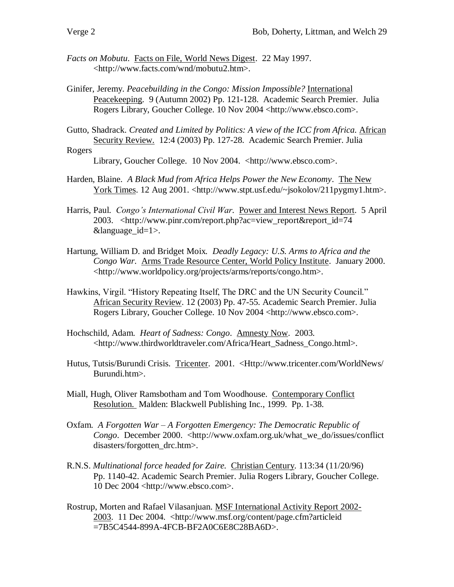- *Facts on Mobutu*. Facts on File, World News Digest. 22 May 1997. <http://www.facts.com/wnd/mobutu2.htm>.
- Ginifer, Jeremy. *Peacebuilding in the Congo: Mission Impossible?* International Peacekeeping. 9 (Autumn 2002) Pp. 121-128. Academic Search Premier. Julia Rogers Library, Goucher College. 10 Nov 2004 <http://www.ebsco.com>.
- Gutto, Shadrack. *Created and Limited by Politics: A view of the ICC from Africa.* African Security Review. 12:4 (2003) Pp. 127-28. Academic Search Premier. Julia Rogers

Library, Goucher College. 10 Nov 2004. [<http://www.ebsco.com>](https://email.goucher.edu/exchweb/bin/redir.asp?URL=http://www.ebsco.com).

- Harden, Blaine. *A Black Mud from Africa Helps Power the New Economy*. The New York Times. 12 Aug 2001. <http://www.stpt.usf.edu/~jsokolov/211pygmy1.htm>.
- Harris, Paul. *Congo's International Civil War*. Power and Interest News Report. 5 April 2003. <http://www.pinr.com/report.php?ac=view\_report&report\_id=74 &language\_id=1>.
- Hartung, William D. and Bridget Moix*. Deadly Legacy: U.S. Arms to Africa and the Congo War*. Arms Trade Resource Center, World Policy Institute. January 2000. <http://www.worldpolicy.org/projects/arms/reports/congo.htm>.
- Hawkins, Virgil. "History Repeating Itself, The DRC and the UN Security Council." African Security Review. 12 (2003) Pp. 47-55. Academic Search Premier. Julia Rogers Library, Goucher College. 10 Nov 2004 <http://www.ebsco.com>.
- Hochschild, Adam. *Heart of Sadness: Congo*. Amnesty Now. 2003. <http://www.thirdworldtraveler.com/Africa/Heart\_Sadness\_Congo.html>.
- Hutus, Tutsis/Burundi Crisis. Tricenter. 2001. <Http://www.tricenter.com/WorldNews/ Burundi.htm>.
- Miall, Hugh, Oliver Ramsbotham and Tom Woodhouse. Contemporary Conflict Resolution. Malden: Blackwell Publishing Inc., 1999. Pp. 1-38.
- Oxfam. *A Forgotten War – A Forgotten Emergency: The Democratic Republic of Congo.* December 2000. <http://www.oxfam.org.uk/what\_we\_do/issues/conflict disasters/forgotten\_drc.htm>.
- R.N.S. *Multinational force headed for Zaire.* Christian Century. 113:34 (11/20/96) Pp. 1140-42. Academic Search Premier. Julia Rogers Library, Goucher College. 10 Dec 2004 <http://www.ebsco.com>.
- Rostrup, Morten and Rafael Vilasanjuan. MSF International Activity Report 2002- 2003. 11 Dec 2004. <http://www.msf.org/content/page.cfm?articleid =7B5C4544-899A-4FCB-BF2A0C6E8C28BA6D>.